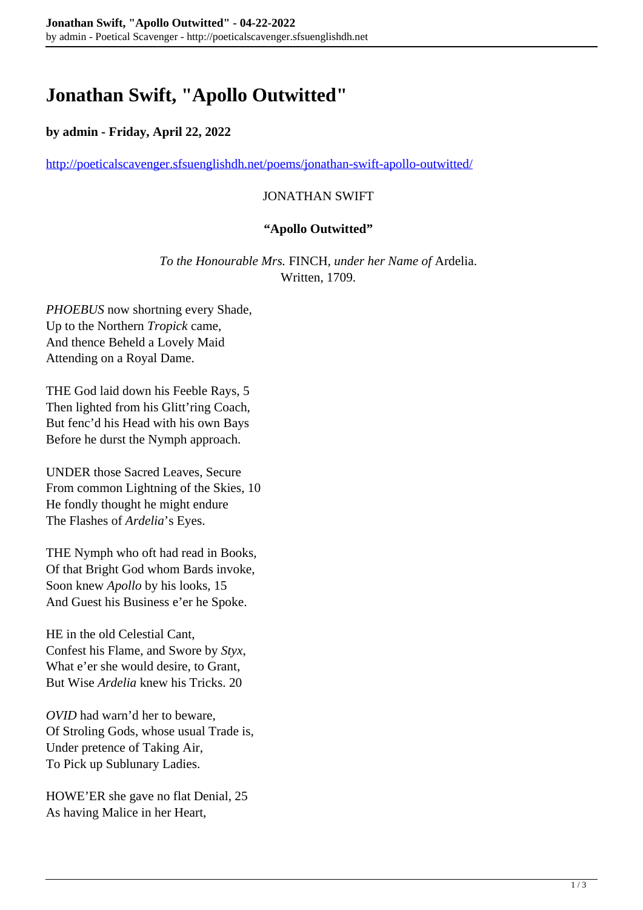# **Jonathan Swift, "Apollo Outwitted"**

# **by admin - Friday, April 22, 2022**

<http://poeticalscavenger.sfsuenglishdh.net/poems/jonathan-swift-apollo-outwitted/>

## JONATHAN SWIFT

#### **"Apollo Outwitted"**

*To the Honourable Mrs.* FINCH*, under her Name of* Ardelia. Written, 1709.

*PHOEBUS* now shortning every Shade, Up to the Northern *Tropick* came, And thence Beheld a Lovely Maid Attending on a Royal Dame.

THE God laid down his Feeble Rays, 5 Then lighted from his Glitt'ring Coach, But fenc'd his Head with his own Bays Before he durst the Nymph approach.

UNDER those Sacred Leaves, Secure From common Lightning of the Skies, 10 He fondly thought he might endure The Flashes of *Ardelia*'s Eyes.

THE Nymph who oft had read in Books, Of that Bright God whom Bards invoke, Soon knew *Apollo* by his looks, 15 And Guest his Business e'er he Spoke.

HE in the old Celestial Cant, Confest his Flame, and Swore by *Styx*, What e'er she would desire, to Grant, But Wise *Ardelia* knew his Tricks. 20

*OVID* had warn'd her to beware, Of Stroling Gods, whose usual Trade is, Under pretence of Taking Air, To Pick up Sublunary Ladies.

HOWE'ER she gave no flat Denial, 25 As having Malice in her Heart,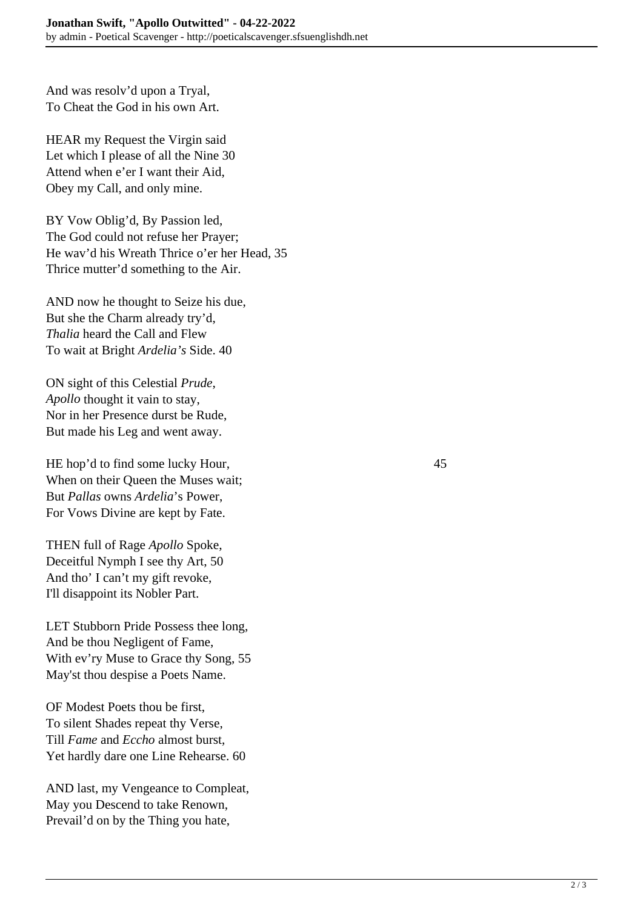And was resolv'd upon a Tryal, To Cheat the God in his own Art.

HEAR my Request the Virgin said Let which I please of all the Nine 30 Attend when e'er I want their Aid, Obey my Call, and only mine.

BY Vow Oblig'd, By Passion led, The God could not refuse her Prayer; He wav'd his Wreath Thrice o'er her Head, 35 Thrice mutter'd something to the Air.

AND now he thought to Seize his due, But she the Charm already try'd, *Thalia* heard the Call and Flew To wait at Bright *Ardelia's* Side. 40

ON sight of this Celestial *Prude*, *Apollo* thought it vain to stay, Nor in her Presence durst be Rude, But made his Leg and went away.

HE hop'd to find some lucky Hour, 45 When on their Queen the Muses wait: But *Pallas* owns *Ardelia*'s Power, For Vows Divine are kept by Fate.

THEN full of Rage *Apollo* Spoke, Deceitful Nymph I see thy Art, 50 And tho' I can't my gift revoke, I'll disappoint its Nobler Part.

LET Stubborn Pride Possess thee long, And be thou Negligent of Fame, With ev'ry Muse to Grace thy Song, 55 May'st thou despise a Poets Name.

OF Modest Poets thou be first, To silent Shades repeat thy Verse, Till *Fame* and *Eccho* almost burst, Yet hardly dare one Line Rehearse. 60

AND last, my Vengeance to Compleat, May you Descend to take Renown, Prevail'd on by the Thing you hate,